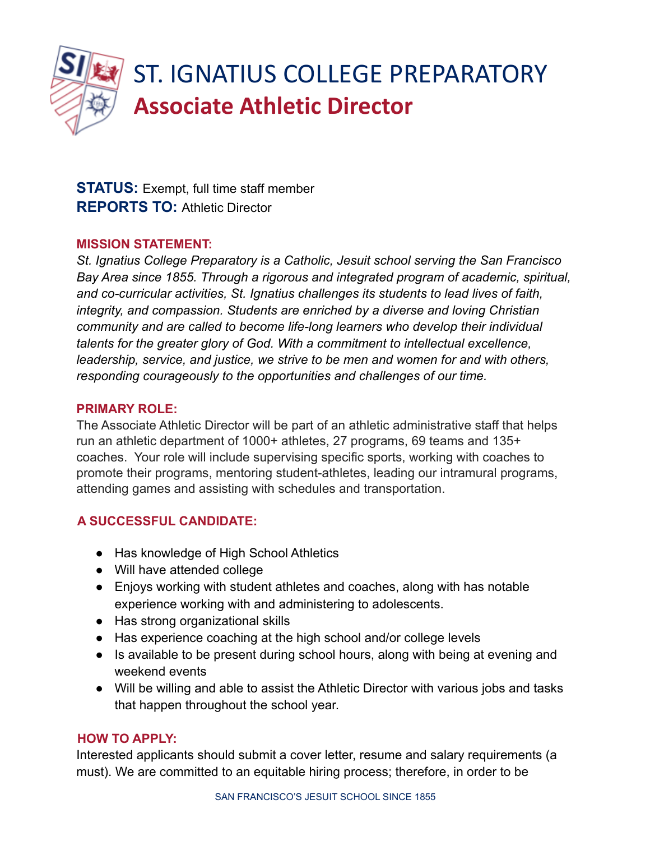

# ST. IGNATIUS COLLEGE PREPARATORY **Associate Athletic Director**

**STATUS:** Exempt, full time staff member **REPORTS TO:** Athletic Director

## **MISSION STATEMENT:**

*St. Ignatius College Preparatory is a Catholic, Jesuit school serving the San Francisco Bay Area since 1855. Through a rigorous and integrated program of academic, spiritual, and co-curricular activities, St. Ignatius challenges its students to lead lives of faith, integrity, and compassion. Students are enriched by a diverse and loving Christian community and are called to become life-long learners who develop their individual talents for the greater glory of God. With a commitment to intellectual excellence, leadership, service, and justice, we strive to be men and women for and with others, responding courageously to the opportunities and challenges of our time.*

#### **PRIMARY ROLE:**

The Associate Athletic Director will be part of an athletic administrative staff that helps run an athletic department of 1000+ athletes, 27 programs, 69 teams and 135+ coaches. Your role will include supervising specific sports, working with coaches to promote their programs, mentoring student-athletes, leading our intramural programs, attending games and assisting with schedules and transportation.

## **A SUCCESSFUL CANDIDATE:**

- Has knowledge of High School Athletics
- Will have attended college
- Enjoys working with student athletes and coaches, along with has notable experience working with and administering to adolescents.
- Has strong organizational skills
- Has experience coaching at the high school and/or college levels
- Is available to be present during school hours, along with being at evening and weekend events
- Will be willing and able to assist the Athletic Director with various jobs and tasks that happen throughout the school year.

## **HOW TO APPLY:**

Interested applicants should submit a cover letter, resume and salary requirements (a must). We are committed to an equitable hiring process; therefore, in order to be